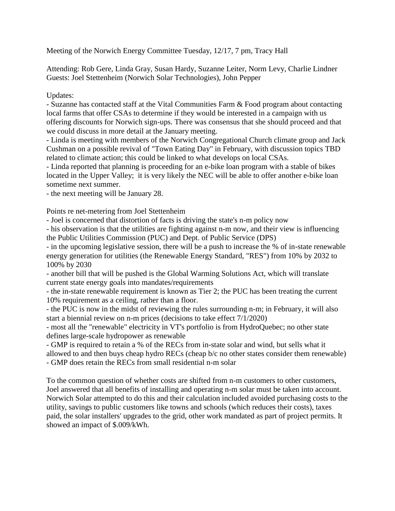Meeting of the Norwich Energy Committee Tuesday, 12/17, 7 pm, Tracy Hall

Attending: Rob Gere, Linda Gray, Susan Hardy, Suzanne Leiter, Norm Levy, Charlie Lindner Guests: Joel Stettenheim (Norwich Solar Technologies), John Pepper

## Updates:

- Suzanne has contacted staff at the Vital Communities Farm & Food program about contacting local farms that offer CSAs to determine if they would be interested in a campaign with us offering discounts for Norwich sign-ups. There was consensus that she should proceed and that we could discuss in more detail at the January meeting.

- Linda is meeting with members of the Norwich Congregational Church climate group and Jack Cushman on a possible revival of "Town Eating Day" in February, with discussion topics TBD related to climate action; this could be linked to what develops on local CSAs.

- Linda reported that planning is proceeding for an e-bike loan program with a stable of bikes located in the Upper Valley; it is very likely the NEC will be able to offer another e-bike loan sometime next summer.

- the next meeting will be January 28.

Points re net-metering from Joel Stettenheim

- Joel is concerned that distortion of facts is driving the state's n-m policy now

- his observation is that the utilities are fighting against n-m now, and their view is influencing the Public Utilities Commission (PUC) and Dept. of Public Service (DPS)

- in the upcoming legislative session, there will be a push to increase the % of in-state renewable energy generation for utilities (the Renewable Energy Standard, "RES") from 10% by 2032 to 100% by 2030

- another bill that will be pushed is the Global Warming Solutions Act, which will translate current state energy goals into mandates/requirements

- the in-state renewable requirement is known as Tier 2; the PUC has been treating the current 10% requirement as a ceiling, rather than a floor.

- the PUC is now in the midst of reviewing the rules surrounding n-m; in February, it will also start a biennial review on n-m prices (decisions to take effect 7/1/2020)

- most all the "renewable" electricity in VT's portfolio is from HydroQuebec; no other state defines large-scale hydropower as renewable

- GMP is required to retain a % of the RECs from in-state solar and wind, but sells what it allowed to and then buys cheap hydro RECs (cheap b/c no other states consider them renewable) - GMP does retain the RECs from small residential n-m solar

To the common question of whether costs are shifted from n-m customers to other customers, Joel answered that all benefits of installing and operating n-m solar must be taken into account. Norwich Solar attempted to do this and their calculation included avoided purchasing costs to the utility, savings to public customers like towns and schools (which reduces their costs), taxes paid, the solar installers' upgrades to the grid, other work mandated as part of project permits. It showed an impact of \$.009/kWh.